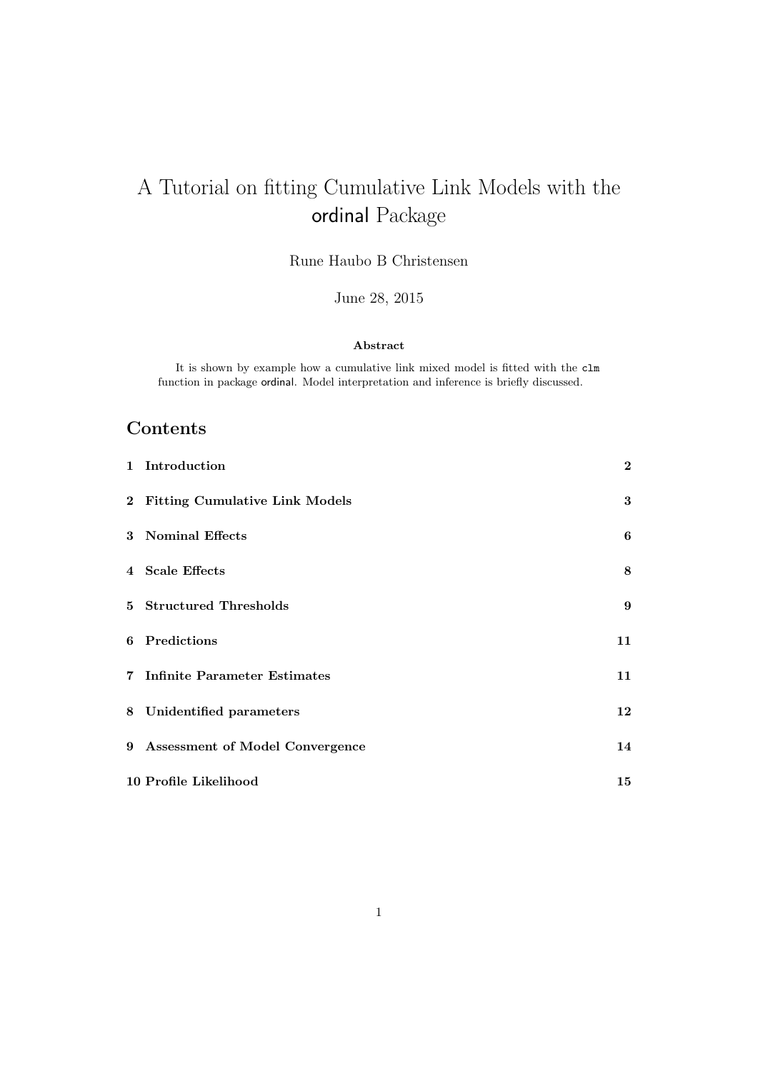# A Tutorial on fitting Cumulative Link Models with the ordinal Package

Rune Haubo B Christensen

June 28, 2015

#### Abstract

It is shown by example how a cumulative link mixed model is fitted with the clm function in package ordinal. Model interpretation and inference is briefly discussed.

## Contents

| 1 Introduction                    | $\overline{2}$   |
|-----------------------------------|------------------|
| 2 Fitting Cumulative Link Models  | $\bf{3}$         |
| 3 Nominal Effects                 | 6                |
| 4 Scale Effects                   | 8                |
| 5 Structured Thresholds           | $\boldsymbol{9}$ |
| 6 Predictions                     | 11               |
| 7 Infinite Parameter Estimates    | 11               |
| 8 Unidentified parameters         | 12               |
| 9 Assessment of Model Convergence | 14               |
| 10 Profile Likelihood             | 15               |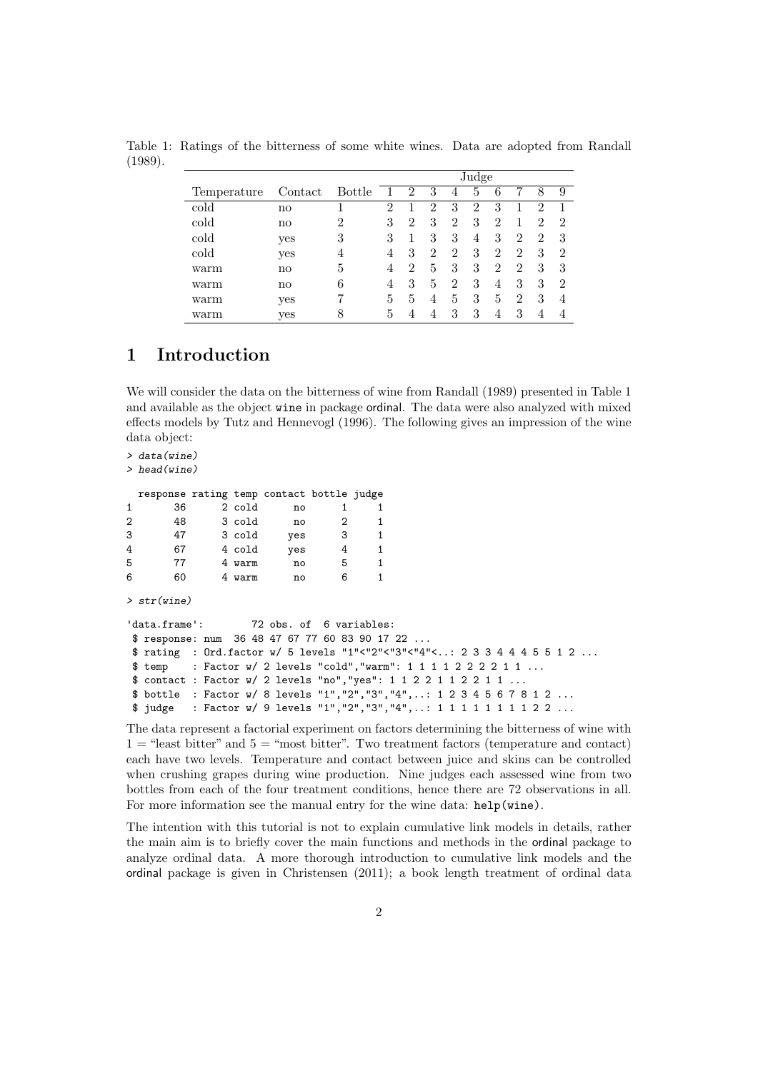|             |                        |                | Judge          |                |                |                |                |                |                |   |                |
|-------------|------------------------|----------------|----------------|----------------|----------------|----------------|----------------|----------------|----------------|---|----------------|
| Temperature | Contact                | Bottle         |                | $\overline{2}$ | 3              | 4              | 5              | 6              |                | 8 | 9              |
| cold        | no                     |                | $\overline{2}$ |                | $\overline{2}$ | 3              | $\overline{2}$ | 3              |                | 2 |                |
| cold        | $\mathbf{n}\mathbf{o}$ | $\overline{2}$ | 3              | $\overline{2}$ | 3              | 2              | 3              | $\overline{2}$ |                | 2 | $\overline{2}$ |
| cold        | yes                    | 3              | 3              |                | 3              | 3              | 4              | 3              | $\overline{2}$ | 2 | 3              |
| cold        | yes                    | 4              | 4              | 3              | 2              | 2              | 3              | $\overline{2}$ | $\overline{2}$ | 3 | $\overline{2}$ |
| warm        | $\mathbf{n}\mathbf{o}$ | 5              | 4              | 2              | 5              | 3              | 3              | $\overline{2}$ | $\overline{2}$ | 3 | 3              |
| warm        | $\mathbf{n}\mathbf{o}$ | 6              | 4              | 3              | 5              | $\overline{2}$ | 3              | 4              | 3              | 3 | $\overline{2}$ |
| warm        | yes                    | 7              | 5              | 5              | 4              | 5              | 3              | 5              | $\overline{2}$ | 3 | 4              |
| $\rm warm$  | yes                    | 8              | 5              |                |                | 3              | 3              | 4              | 3              | 4 | 4              |

Table 1: Ratings of the bitterness of some white wines. Data are adopted from Randall (1989).

#### 1 Introduction

We will consider the data on the bitterness of wine from Randall (1989) presented in Table 1 and available as the object wine in package ordinal. The data were also analyzed with mixed effects models by Tutz and Hennevogl (1996). The following gives an impression of the wine data object:

```
> data(wine)
```

```
> head(wine)
```

|   | response rating temp contact bottle judge |        |     |   |  |
|---|-------------------------------------------|--------|-----|---|--|
| 1 | 36                                        | 2 cold | no  |   |  |
| 2 | 48                                        | 3 cold | no  | 2 |  |
| 3 | 47                                        | 3 cold | yes | 3 |  |
| 4 | 67                                        | 4 cold | yes |   |  |
| 5 | 77                                        | 4 warm | no  | 5 |  |
| 6 | 60                                        | warm   | no  |   |  |

> str(wine)

```
'data.frame': 72 obs. of 6 variables:
$ response: num 36 48 47 67 77 60 83 90 17 22 ...
$ rating : Ord.factor w/ 5 levels "1"<"2"<"3"<"4"<..: 2 3 3 4 4 4 5 5 1 2 ...
$ temp : Factor w/ 2 levels "cold","warm": 1 1 1 1 2 2 2 2 1 1 ...
$ contact : Factor w/ 2 levels "no","yes": 1 1 2 2 1 1 2 2 1 1 ...
$ bottle : Factor w/ 8 levels "1","2","3","4",..: 1 2 3 4 5 6 7 8 1 2 ...
$ judge : Factor w/ 9 levels "1","2","3","4",..: 1 1 1 1 1 1 1 1 2 2 ...
```
The data represent a factorial experiment on factors determining the bitterness of wine with  $1 =$  "least bitter" and  $5 =$  "most bitter". Two treatment factors (temperature and contact) each have two levels. Temperature and contact between juice and skins can be controlled when crushing grapes during wine production. Nine judges each assessed wine from two bottles from each of the four treatment conditions, hence there are 72 observations in all. For more information see the manual entry for the wine data: help(wine).

The intention with this tutorial is not to explain cumulative link models in details, rather the main aim is to briefly cover the main functions and methods in the ordinal package to analyze ordinal data. A more thorough introduction to cumulative link models and the ordinal package is given in Christensen (2011); a book length treatment of ordinal data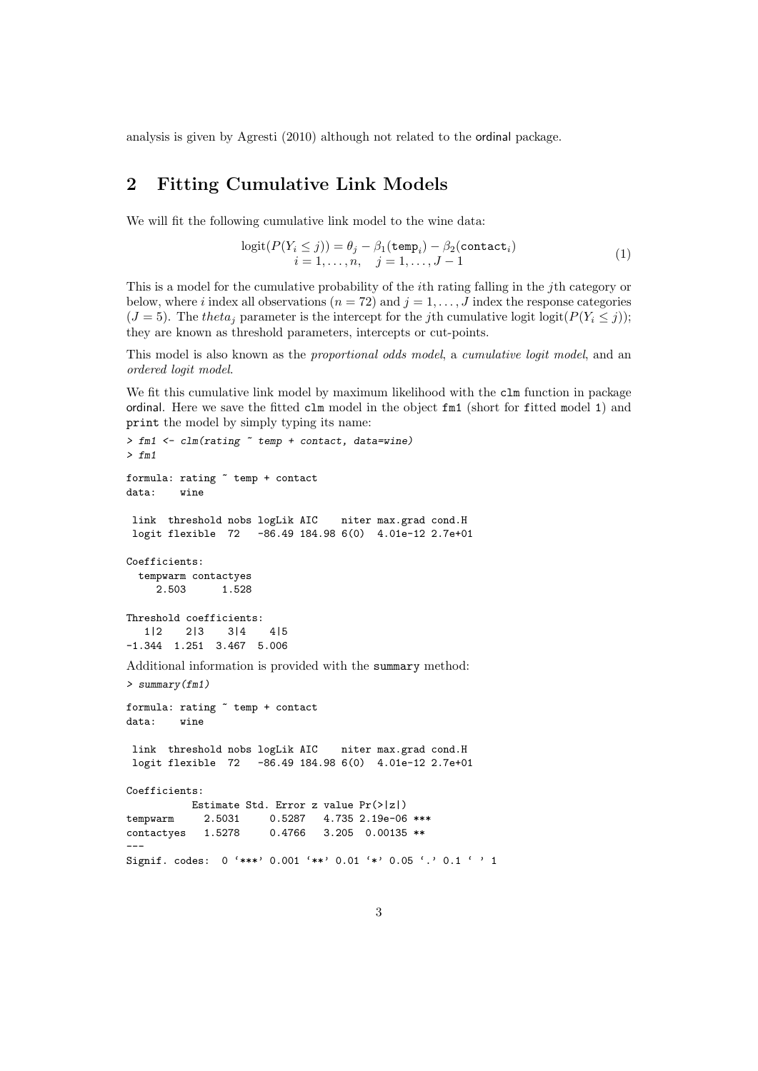analysis is given by Agresti (2010) although not related to the ordinal package.

### 2 Fitting Cumulative Link Models

We will fit the following cumulative link model to the wine data:

$$
logit(P(Y_i \le j)) = \theta_j - \beta_1(\text{temp}_i) - \beta_2(\text{contact}_i)
$$
  

$$
i = 1, ..., n, \quad j = 1, ..., J - 1
$$
 (1)

This is a model for the cumulative probability of the ith rating falling in the jth category or below, where i index all observations  $(n = 72)$  and  $j = 1, \ldots, J$  index the response categories  $(J = 5)$ . The theta<sub>j</sub> parameter is the intercept for the j<sup>th</sup> cumulative logit logit( $P(Y_i \leq j)$ ); they are known as threshold parameters, intercepts or cut-points.

This model is also known as the proportional odds model, a cumulative logit model, and an ordered logit model.

We fit this cumulative link model by maximum likelihood with the clm function in package ordinal. Here we save the fitted clm model in the object fm1 (short for fitted model 1) and print the model by simply typing its name:

```
> fm1 <- clm(rating ~ temp + contact, data=wine)
> fm1formula: rating ~ temp + contact
data: wine
link threshold nobs logLik AIC niter max.grad cond.H
logit flexible 72 -86.49 184.98 6(0) 4.01e-12 2.7e+01
Coefficients:
 tempwarm contactyes
    2.503 1.528
Threshold coefficients:
  1|2 2|3 3|4 4|5
-1.344 1.251 3.467 5.006
Additional information is provided with the summary method:
> summary(fm1)
formula: rating ~ temp + contact
data: wine
link threshold nobs logLik AIC niter max.grad cond.H
logit flexible 72 -86.49 184.98 6(0) 4.01e-12 2.7e+01
Coefficients:
          Estimate Std. Error z value Pr(>|z|)
tempwarm 2.5031 0.5287 4.735 2.19e-06 ***
contactyes 1.5278 0.4766 3.205 0.00135 **
---
Signif. codes: 0 '***' 0.001 '**' 0.01 '*' 0.05 '.' 0.1 ' ' 1
```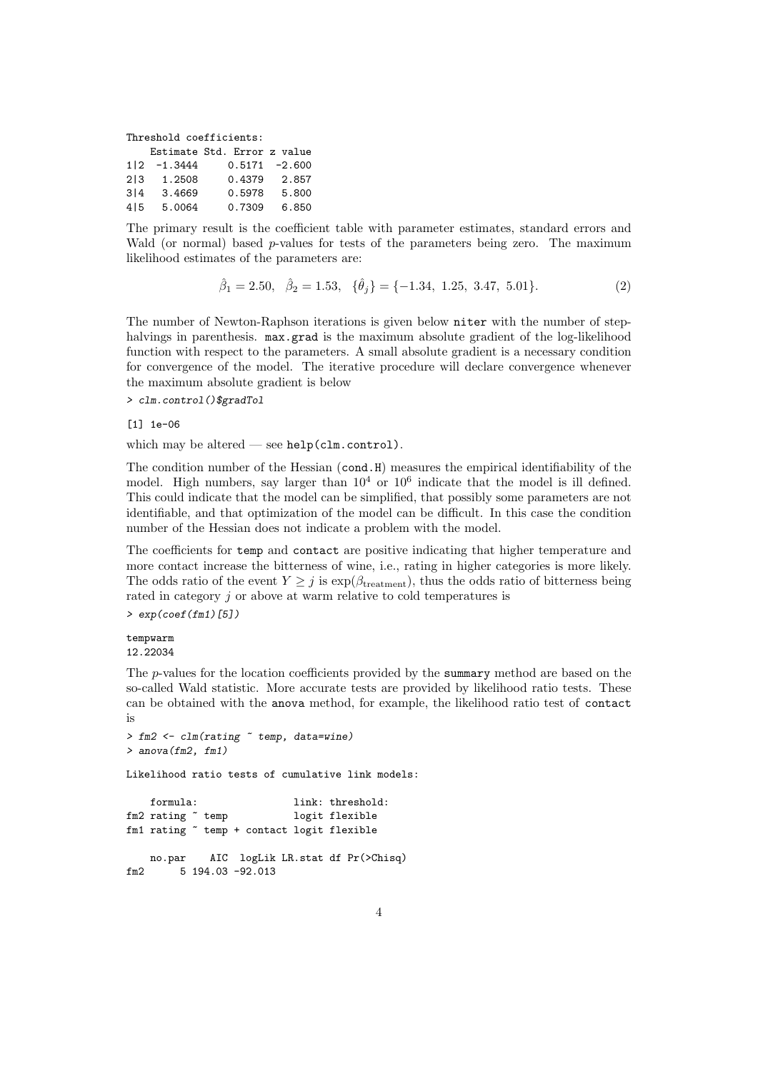Threshold coefficients:

|     |           | Estimate Std. Error z value |                  |
|-----|-----------|-----------------------------|------------------|
| 112 | $-1.3444$ |                             | $0.5171 - 2.600$ |
| 213 | 1.2508    | 0.4379                      | 2.857            |
| 314 | 3.4669    | 0.5978                      | 5.800            |
| 415 | 5.0064    | 0.7309                      | 6.850            |

The primary result is the coefficient table with parameter estimates, standard errors and Wald (or normal) based p-values for tests of the parameters being zero. The maximum likelihood estimates of the parameters are:

$$
\hat{\beta}_1 = 2.50, \quad \hat{\beta}_2 = 1.53, \quad \{\hat{\theta}_j\} = \{-1.34, 1.25, 3.47, 5.01\}.
$$
\n
$$
(2)
$$

The number of Newton-Raphson iterations is given below niter with the number of stephalvings in parenthesis. max.grad is the maximum absolute gradient of the log-likelihood function with respect to the parameters. A small absolute gradient is a necessary condition for convergence of the model. The iterative procedure will declare convergence whenever the maximum absolute gradient is below

> clm.control()\$gradTol

[1] 1e-06

which may be altered — see help(clm.control).

The condition number of the Hessian (cond.H) measures the empirical identifiability of the model. High numbers, say larger than  $10^4$  or  $10^6$  indicate that the model is ill defined. This could indicate that the model can be simplified, that possibly some parameters are not identifiable, and that optimization of the model can be difficult. In this case the condition number of the Hessian does not indicate a problem with the model.

The coefficients for temp and contact are positive indicating that higher temperature and more contact increase the bitterness of wine, i.e., rating in higher categories is more likely. The odds ratio of the event  $Y \geq j$  is  $\exp(\beta_{\text{treatment}})$ , thus the odds ratio of bitterness being rated in category j or above at warm relative to cold temperatures is  $> exp(coef(fm1)[5])$ 

#### tempwarm 12.22034

The p-values for the location coefficients provided by the summary method are based on the so-called Wald statistic. More accurate tests are provided by likelihood ratio tests. These can be obtained with the anova method, for example, the likelihood ratio test of contact is

```
> fm2 <- clm(rating ~ temp, data=wine)
> anova (fm2, fm1)
Likelihood ratio tests of cumulative link models:
   formula: link: threshold:
fm2 rating ~ temp logit flexible
fm1 rating ~ temp + contact logit flexible
   no.par AIC logLik LR.stat df Pr(>Chisq)
fm2 5 194.03 -92.013
```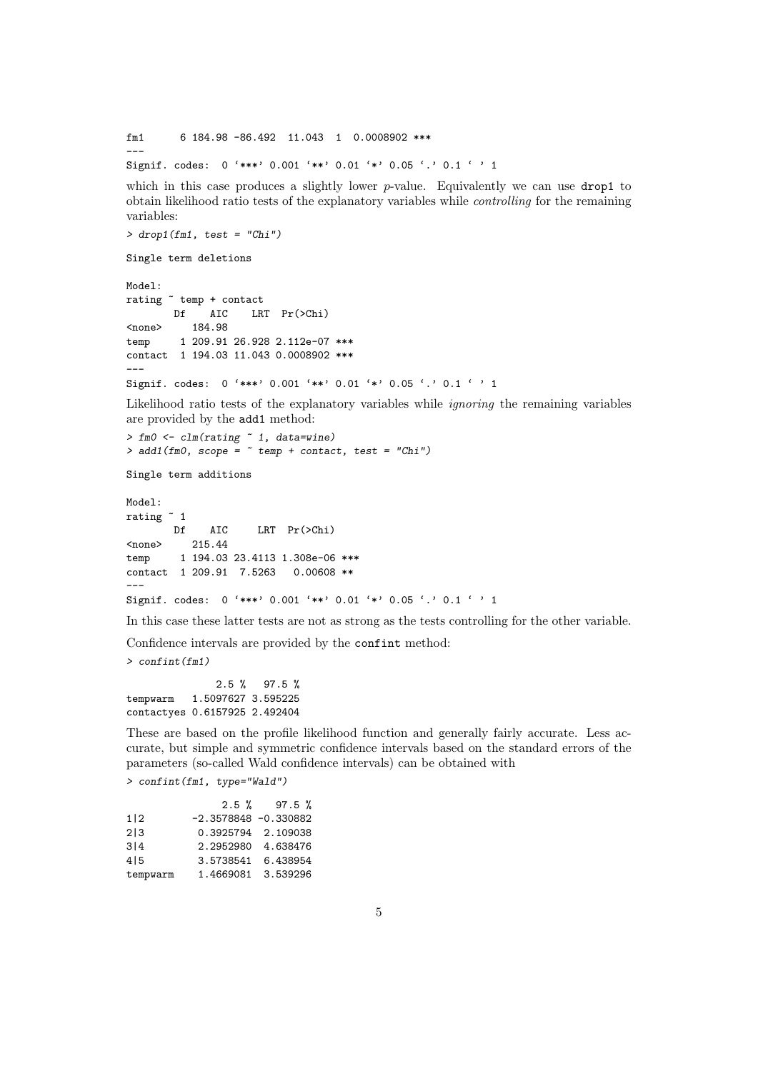fm1 6 184.98 -86.492 11.043 1 0.0008902 \*\*\* ---

Signif. codes: 0 '\*\*\*' 0.001 '\*\*' 0.01 '\*' 0.05 '.' 0.1 ' ' 1

which in this case produces a slightly lower  $p$ -value. Equivalently we can use drop1 to obtain likelihood ratio tests of the explanatory variables while controlling for the remaining variables:

```
> drop1(fm1, test = "Chi")
```
Single term deletions

Model: rating ~ temp + contact Df AIC LRT Pr(>Chi) <none> 184.98 temp 1 209.91 26.928 2.112e-07 \*\*\* contact 1 194.03 11.043 0.0008902 \*\*\* --- Signif. codes: 0 '\*\*\*' 0.001 '\*\*' 0.01 '\*' 0.05 '.' 0.1 ' ' 1

Likelihood ratio tests of the explanatory variables while *ignoring* the remaining variables are provided by the add1 method:

```
> fm0 <- clm(rating ~ 1, data=wine)
> add1(fm0, scope = "temp + contact, test = "Chi")
```
Single term additions

```
Model:
rating ~ 1
       Df AIC LRT Pr(>Chi)
<none> 215.44
temp 1 194.03 23.4113 1.308e-06 ***
contact 1 209.91 7.5263 0.00608 **
---
Signif. codes: 0 '***' 0.001 '**' 0.01 '*' 0.05 '.' 0.1 ' ' 1
```
In this case these latter tests are not as strong as the tests controlling for the other variable.

Confidence intervals are provided by the confint method:

> confint(fm1)

2.5 % 97.5 % tempwarm 1.5097627 3.595225 contactyes 0.6157925 2.492404

These are based on the profile likelihood function and generally fairly accurate. Less accurate, but simple and symmetric confidence intervals based on the standard errors of the parameters (so-called Wald confidence intervals) can be obtained with

> confint(fm1, type="Wald")

|          |                         | $2.5 \%$ 97.5 % |
|----------|-------------------------|-----------------|
| 1 2      | $-2.3578848 - 0.330882$ |                 |
| 213      | 0.3925794 2.109038      |                 |
| 314      | 2.2952980 4.638476      |                 |
| 415      | 3.5738541               | 6.438954        |
| tempwarm | 1.4669081 3.539296      |                 |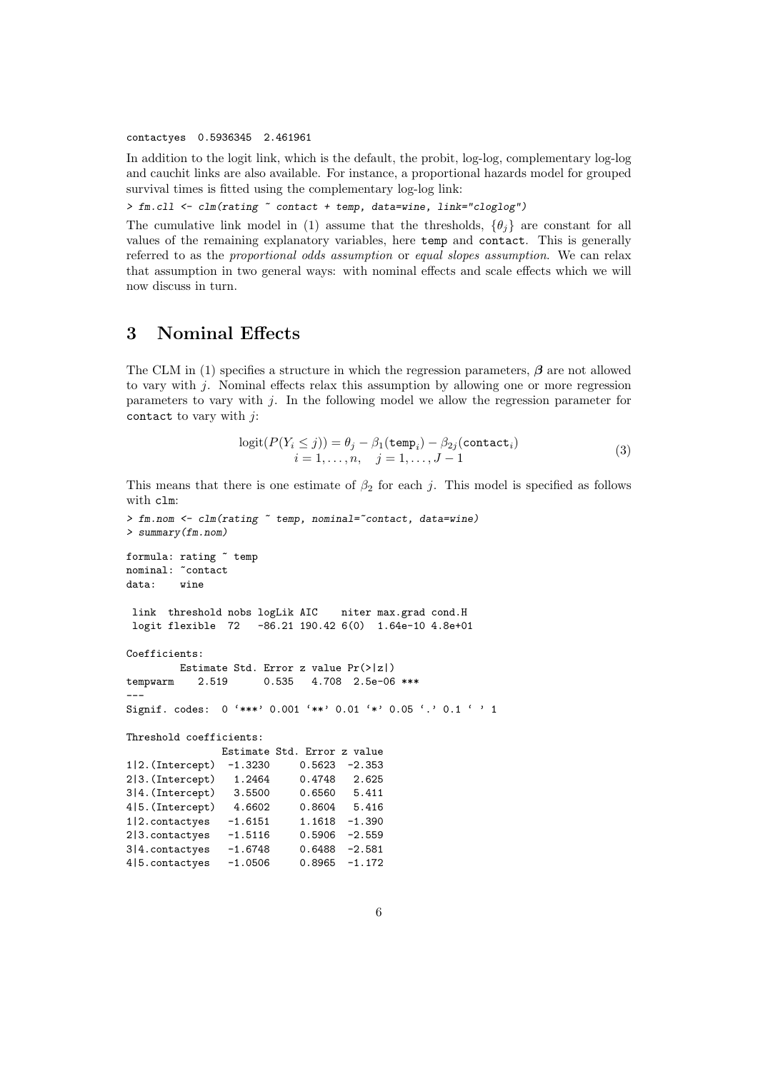contactyes 0.5936345 2.461961

In addition to the logit link, which is the default, the probit, log-log, complementary log-log and cauchit links are also available. For instance, a proportional hazards model for grouped survival times is fitted using the complementary log-log link:

> fm.cll <- clm(rating ~ contact + temp, data=wine, link="cloglog")

The cumulative link model in (1) assume that the thresholds,  $\{\theta_i\}$  are constant for all values of the remaining explanatory variables, here temp and contact. This is generally referred to as the proportional odds assumption or equal slopes assumption. We can relax that assumption in two general ways: with nominal effects and scale effects which we will now discuss in turn.

### 3 Nominal Effects

The CLM in (1) specifies a structure in which the regression parameters,  $\beta$  are not allowed to vary with  $i$ . Nominal effects relax this assumption by allowing one or more regression parameters to vary with j. In the following model we allow the regression parameter for contact to vary with  $j$ :

$$
logit(P(Y_i \le j)) = \theta_j - \beta_1(\text{temp}_i) - \beta_{2j}(\text{contact}_i)
$$
  

$$
i = 1, ..., n, \quad j = 1, ..., J - 1
$$
 (3)

This means that there is one estimate of  $\beta_2$  for each j. This model is specified as follows with clm:

```
> fm.nom <- clm(rating \tilde{ } temp, nominal=\tilde{ }contact, data=wine)
> summary(fm.nom)
formula: rating \tilde{ } temp
nominal: "contact
data: wine
link threshold nobs logLik AIC niter max.grad cond.H
logit flexible 72 -86.21 190.42 6(0) 1.64e-10 4.8e+01
Coefficients:
        Estimate Std. Error z value Pr(>|z|)
tempwarm 2.519 0.535 4.708 2.5e-06 ***
---
Signif. codes: 0 '***' 0.001 '**' 0.01 '*' 0.05 '.' 0.1 ' ' 1
Threshold coefficients:
              Estimate Std. Error z value
1|2.(Intercept) -1.3230 0.5623 -2.353
2|3.(Intercept) 1.2464 0.4748 2.625
3|4.(Intercept) 3.5500 0.6560 5.411
4|5.(Intercept) 4.6602 0.8604 5.416
1|2.contactyes -1.6151 1.1618 -1.390
2|3.contactyes -1.5116 0.5906 -2.559
3|4.contactyes -1.6748 0.6488 -2.581
4|5.contactyes -1.0506 0.8965 -1.172
```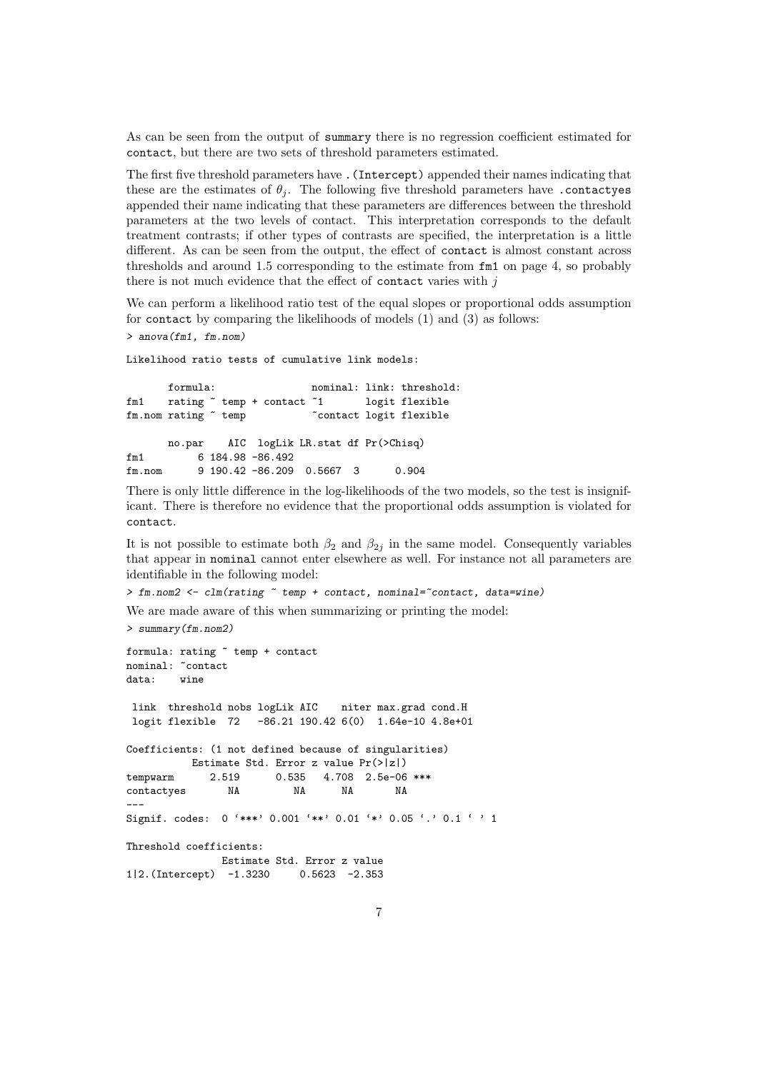As can be seen from the output of summary there is no regression coefficient estimated for contact, but there are two sets of threshold parameters estimated.

The first five threshold parameters have .(Intercept) appended their names indicating that these are the estimates of  $\theta_i$ . The following five threshold parameters have contactyes appended their name indicating that these parameters are differences between the threshold parameters at the two levels of contact. This interpretation corresponds to the default treatment contrasts; if other types of contrasts are specified, the interpretation is a little different. As can be seen from the output, the effect of contact is almost constant across thresholds and around 1.5 corresponding to the estimate from fm1 on page 4, so probably there is not much evidence that the effect of contact varies with  $j$ 

We can perform a likelihood ratio test of the equal slopes or proportional odds assumption for contact by comparing the likelihoods of models (1) and (3) as follows: > anova(fm1, fm.nom)

Likelihood ratio tests of cumulative link models:

formula: nominal: link: threshold: fm1 rating " temp + contact "1 logit flexible fm.nom rating " temp " contact logit flexible no.par AIC logLik LR.stat df Pr(>Chisq) fm1 6 184.98 -86.492 fm.nom 9 190.42 -86.209 0.5667 3 0.904

There is only little difference in the log-likelihoods of the two models, so the test is insignificant. There is therefore no evidence that the proportional odds assumption is violated for contact.

It is not possible to estimate both  $\beta_2$  and  $\beta_{2j}$  in the same model. Consequently variables that appear in nominal cannot enter elsewhere as well. For instance not all parameters are identifiable in the following model:

```
> fm.nom2 <- clm(rating \tilde{ } temp + contact, nominal=\tilde{ }contact, data=wine)
```
We are made aware of this when summarizing or printing the model:

> summary(fm.nom2)

```
formula: rating ~ temp + contact
nominal: "contact
data: wine
link threshold nobs logLik AIC niter max.grad cond.H
logit flexible 72 -86.21 190.42 6(0) 1.64e-10 4.8e+01
Coefficients: (1 not defined because of singularities)
         Estimate Std. Error z value Pr(>|z|)
tempwarm 2.519 0.535 4.708 2.5e-06 ***
contactyes NA NA NA NA
---
Signif. codes: 0 '***' 0.001 '**' 0.01 '*' 0.05 '.' 0.1 ' ' 1
Threshold coefficients:
              Estimate Std. Error z value
1|2.(Intercept) -1.3230 0.5623 -2.353
```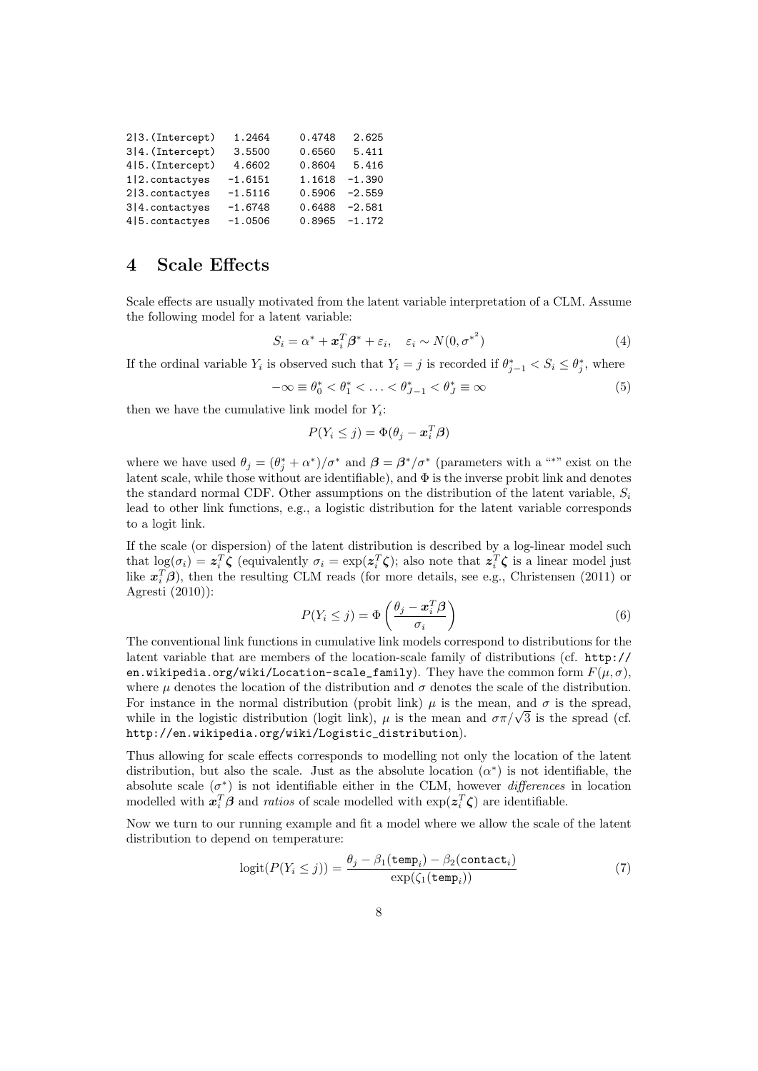| 2 3. (Intercept)   | 1.2464    | 0.4748          | 2.625    |
|--------------------|-----------|-----------------|----------|
| 3 4. (Intercept)   | 3.5500    | 0.6560          | 5.411    |
| 4 5. (Intercept)   | 4.6602    | 0.8604          | 5.416    |
| $1 2$ . contactyes | $-1.6151$ | 1.1618          | $-1.390$ |
| $2 3$ . contactyes | $-1.5116$ | 0.5906          | $-2.559$ |
| $3 4$ . contactyes | $-1.6748$ | 0.6488          | $-2.581$ |
| 4   5. contactyes  | $-1.0506$ | $0.8965 -1.172$ |          |

#### 4 Scale Effects

Scale effects are usually motivated from the latent variable interpretation of a CLM. Assume the following model for a latent variable:

$$
S_i = \alpha^* + \boldsymbol{x}_i^T \boldsymbol{\beta}^* + \varepsilon_i, \quad \varepsilon_i \sim N(0, {\sigma^*}^2)
$$
 (4)

If the ordinal variable  $Y_i$  is observed such that  $Y_i = j$  is recorded if  $\theta_{j-1}^* < S_i \leq \theta_j^*$ , where

$$
-\infty \equiv \theta_0^* < \theta_1^* < \ldots < \theta_{J-1}^* < \theta_J^* \equiv \infty \tag{5}
$$

then we have the cumulative link model for  $Y_i$ :

$$
P(Y_i \leq j) = \Phi(\theta_j - \boldsymbol{x}_i^T \boldsymbol{\beta})
$$

where we have used  $\theta_j = (\theta_j^* + \alpha^*)/\sigma^*$  and  $\beta = \beta^*/\sigma^*$  (parameters with a "\*" exist on the latent scale, while those without are identifiable), and  $\Phi$  is the inverse probit link and denotes the standard normal CDF. Other assumptions on the distribution of the latent variable,  $S_i$ lead to other link functions, e.g., a logistic distribution for the latent variable corresponds to a logit link.

If the scale (or dispersion) of the latent distribution is described by a log-linear model such that  $\log(\sigma_i) = z_i^T \zeta$  (equivalently  $\sigma_i = \exp(z_i^T \zeta)$ ; also note that  $z_i^T \zeta$  is a linear model just like  $x_i^T \beta$ ), then the resulting CLM reads (for more details, see e.g., Christensen (2011) or Agresti (2010)):

$$
P(Y_i \leq j) = \Phi\left(\frac{\theta_j - \boldsymbol{x}_i^T \boldsymbol{\beta}}{\sigma_i}\right) \tag{6}
$$

The conventional link functions in cumulative link models correspond to distributions for the latent variable that are members of the location-scale family of distributions (cf. http:// en.wikipedia.org/wiki/Location-scale\_family). They have the common form  $F(\mu, \sigma)$ , where  $\mu$  denotes the location of the distribution and  $\sigma$  denotes the scale of the distribution. For instance in the normal distribution (probit link)  $\mu$  is the mean, and  $\sigma$  is the spread, while in the logistic distribution (logit link),  $\mu$  is the mean and  $\sigma \pi / \sqrt{3}$  is the spread (cf. http://en.wikipedia.org/wiki/Logistic\_distribution).

Thus allowing for scale effects corresponds to modelling not only the location of the latent distribution, but also the scale. Just as the absolute location  $(\alpha^*)$  is not identifiable, the absolute scale  $(\sigma^*)$  is not identifiable either in the CLM, however *differences* in location modelled with  $x_i^T \beta$  and *ratios* of scale modelled with  $\exp(z_i^T \zeta)$  are identifiable.

Now we turn to our running example and fit a model where we allow the scale of the latent distribution to depend on temperature:

$$
logit(P(Y_i \le j)) = \frac{\theta_j - \beta_1(\text{temp}_i) - \beta_2(\text{contact}_i)}{\exp(\zeta_1(\text{temp}_i))}
$$
(7)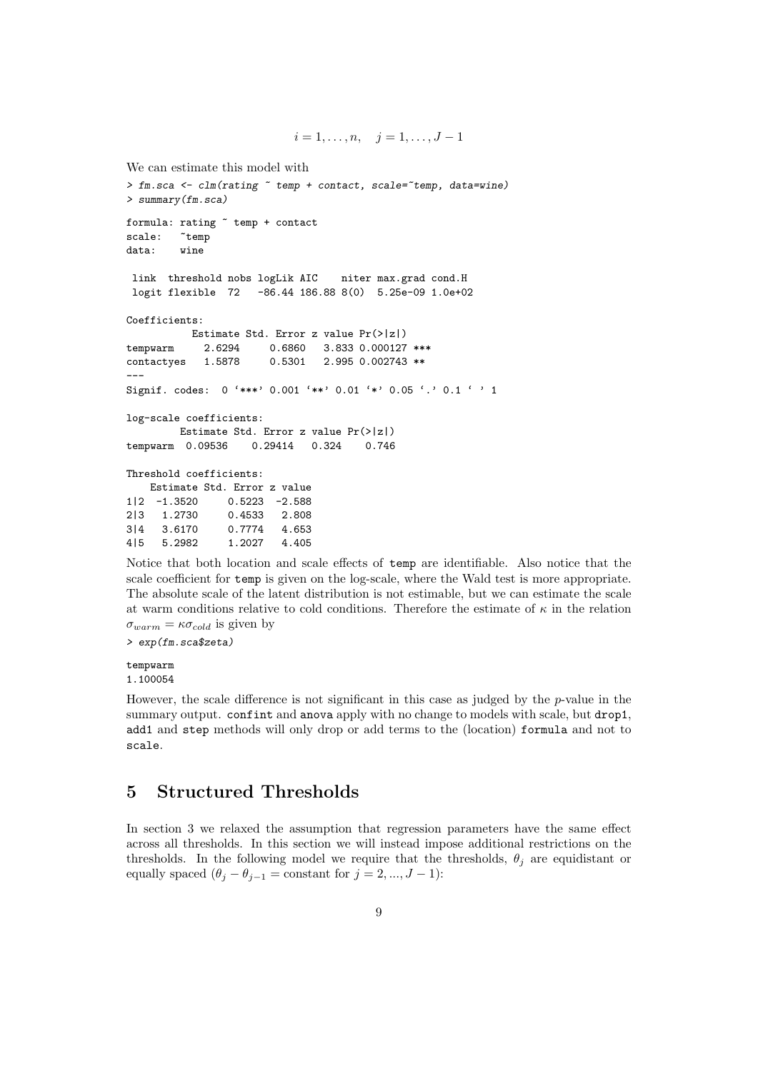```
We can estimate this model with
> fm.sca <- clm(rating \tilde{ } temp + contact, scale=\tilde{ }temp, data=wine)
> summary(fm.sca)
formula: rating ~ temp + contact
scale: "temp
data: wine
link threshold nobs logLik AIC niter max.grad cond.H
logit flexible 72 -86.44 186.88 8(0) 5.25e-09 1.0e+02
Coefficients:
           Estimate Std. Error z value Pr(>|z|)
tempwarm 2.6294 0.6860 3.833 0.000127 ***<br>contactyes 1.5878 0.5301 2.995 0.002743 **
contactyes 1.5878 0.5301 2.995 0.002743 **
---
Signif. codes: 0 '***' 0.001 '**' 0.01 '*' 0.05 '.' 0.1 ' ' 1
log-scale coefficients:
         Estimate Std. Error z value Pr(>|z|)
tempwarm 0.09536 0.29414 0.324 0.746
Threshold coefficients:
   Estimate Std. Error z value
1|2 -1.3520 0.5223 -2.588
2|3 1.2730 0.4533 2.808
3|4 3.6170 0.7774 4.653
4|5 5.2982 1.2027 4.405
```
Notice that both location and scale effects of temp are identifiable. Also notice that the scale coefficient for temp is given on the log-scale, where the Wald test is more appropriate. The absolute scale of the latent distribution is not estimable, but we can estimate the scale at warm conditions relative to cold conditions. Therefore the estimate of  $\kappa$  in the relation  $\sigma_{warm} = \kappa \sigma_{cold}$  is given by

 $i = 1, \ldots, n, \quad j = 1, \ldots, J - 1$ 

> exp(fm.sca\$zeta)

tempwarm 1.100054

However, the scale difference is not significant in this case as judged by the  $p$ -value in the summary output. confint and anova apply with no change to models with scale, but drop1, add1 and step methods will only drop or add terms to the (location) formula and not to scale.

### 5 Structured Thresholds

In section 3 we relaxed the assumption that regression parameters have the same effect across all thresholds. In this section we will instead impose additional restrictions on the thresholds. In the following model we require that the thresholds,  $\theta_i$  are equidistant or equally spaced  $(\theta_j - \theta_{j-1} = \text{constant} \text{ for } j = 2, ..., J - 1)$ :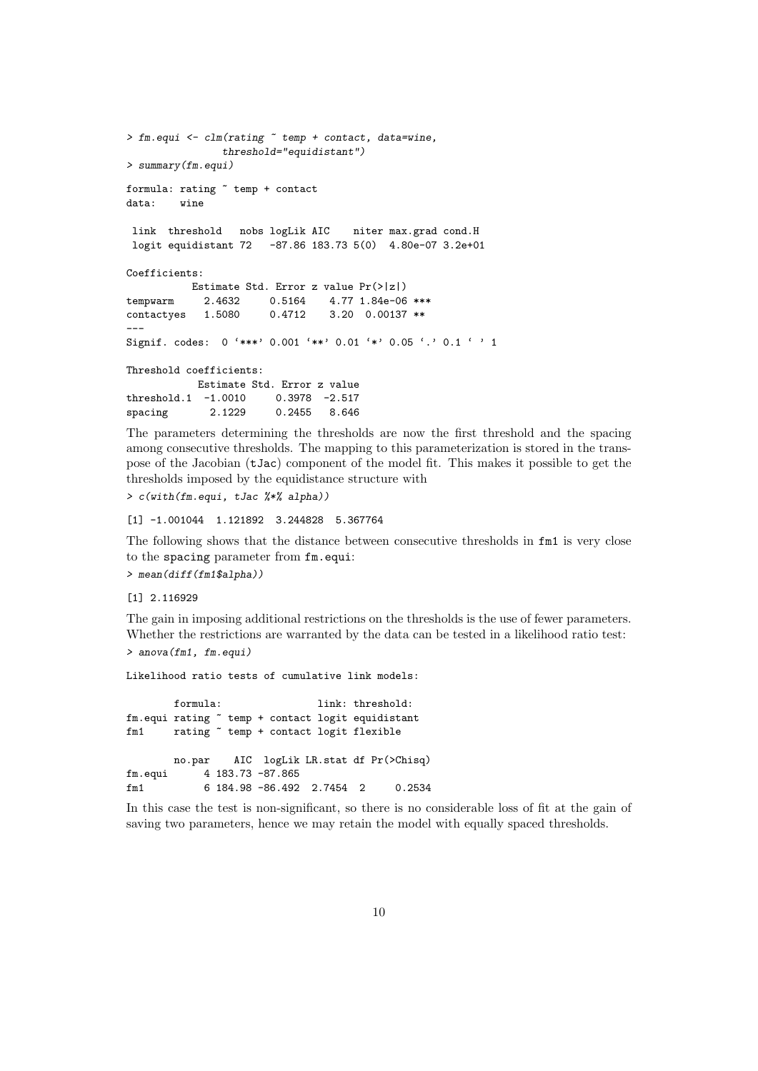```
> fm.equi <- clm(rating ~ temp + contact, data=wine,
              threshold="equidistant")
> summary(fm.equi)
formula: rating ~ temp + contact
data: wine
link threshold nobs logLik AIC niter max.grad cond.H
logit equidistant 72 -87.86 183.73 5(0) 4.80e-07 3.2e+01
Coefficients:
         Estimate Std. Error z value Pr(>|z|)tempwarm 2.4632 0.5164 4.77 1.84e-06 ***
contactyes 1.5080 0.4712 3.20 0.00137 **
---
Signif. codes: 0 '***' 0.001 '**' 0.01 '*' 0.05 '.' 0.1 ' ' 1
Threshold coefficients:
          Estimate Std. Error z value
threshold.1 -1.0010 0.3978 -2.517
spacing 2.1229 0.2455 8.646
```
The parameters determining the thresholds are now the first threshold and the spacing among consecutive thresholds. The mapping to this parameterization is stored in the transpose of the Jacobian (tJac) component of the model fit. This makes it possible to get the thresholds imposed by the equidistance structure with

> c(with(fm.equi, tJac %\*% alpha))

[1] -1.001044 1.121892 3.244828 5.367764

The following shows that the distance between consecutive thresholds in fm1 is very close to the spacing parameter from fm.equi:

> mean(diff(fm1\$alpha))

[1] 2.116929

The gain in imposing additional restrictions on the thresholds is the use of fewer parameters. Whether the restrictions are warranted by the data can be tested in a likelihood ratio test:

```
> anova(fm1, fm.equi)
```
Likelihood ratio tests of cumulative link models:

formula: link: threshold: fm.equi rating ~ temp + contact logit equidistant fm1 rating ~ temp + contact logit flexible no.par AIC logLik LR.stat df Pr(>Chisq) fm.equi 4 183.73 -87.865 fm1 6 184.98 -86.492 2.7454 2 0.2534

In this case the test is non-significant, so there is no considerable loss of fit at the gain of saving two parameters, hence we may retain the model with equally spaced thresholds.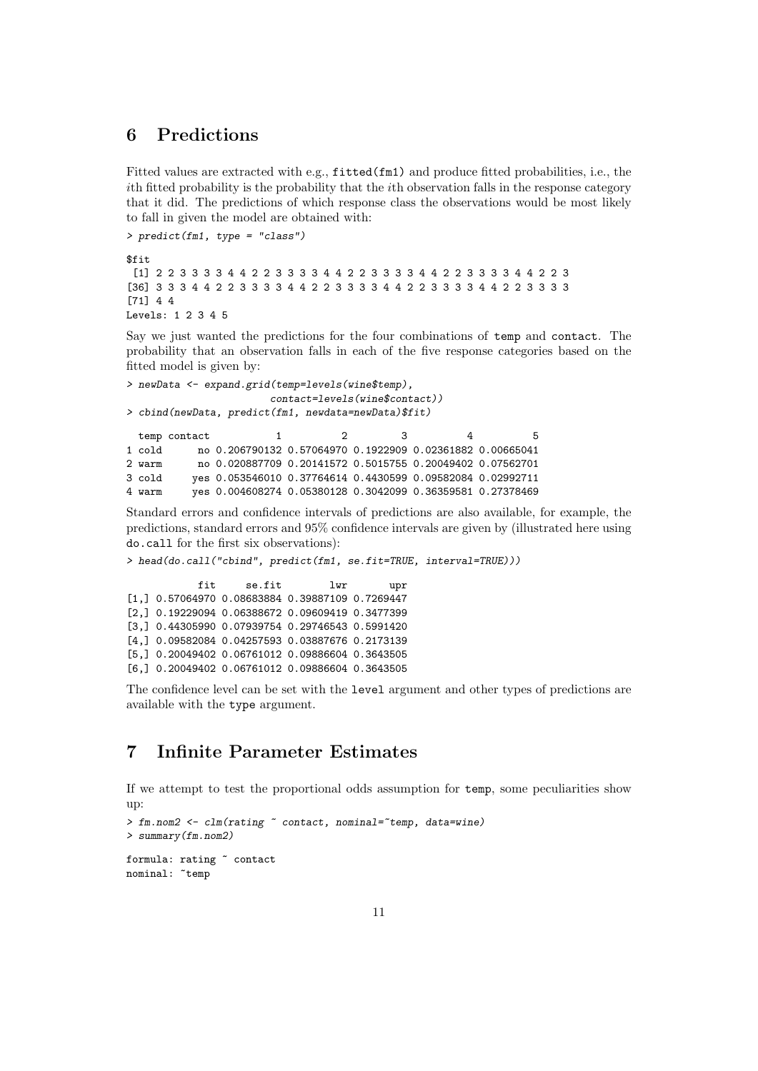#### 6 Predictions

Fitted values are extracted with e.g., fitted(fm1) and produce fitted probabilities, i.e., the ith fitted probability is the probability that the ith observation falls in the response category that it did. The predictions of which response class the observations would be most likely to fall in given the model are obtained with:

> predict(fm1, type = "class")

\$fit [1] 2 2 3 3 3 3 4 4 2 2 3 3 3 3 4 4 2 2 3 3 3 3 4 4 2 2 3 3 3 3 4 4 2 2 3 [36] 3 3 3 4 4 2 2 3 3 3 3 4 4 2 2 3 3 3 3 4 4 2 2 3 3 3 3 4 4 2 2 3 3 3 3 [71] 4 4 Levels: 1 2 3 4 5

Say we just wanted the predictions for the four combinations of temp and contact. The probability that an observation falls in each of the five response categories based on the fitted model is given by:

```
> newData <- expand.grid(temp=levels(wine$temp),
                     contact=levels(wine$contact))
> cbind(newData, predict(fm1, newdata=newData)$fit)
 temp contact 1 2 3 4 5
1 cold no 0.206790132 0.57064970 0.1922909 0.02361882 0.00665041
2 warm no 0.020887709 0.20141572 0.5015755 0.20049402 0.07562701
3 cold yes 0.053546010 0.37764614 0.4430599 0.09582084 0.02992711
4 warm yes 0.004608274 0.05380128 0.3042099 0.36359581 0.27378469
```
Standard errors and confidence intervals of predictions are also available, for example, the predictions, standard errors and 95% confidence intervals are given by (illustrated here using do.call for the first six observations):

```
> head(do.call("cbind", predict(fm1, se.fit=TRUE, interval=TRUE)))
```
fit se.fit lwr upr [1,] 0.57064970 0.08683884 0.39887109 0.7269447 [2,] 0.19229094 0.06388672 0.09609419 0.3477399 [3,] 0.44305990 0.07939754 0.29746543 0.5991420 [4,] 0.09582084 0.04257593 0.03887676 0.2173139 [5,] 0.20049402 0.06761012 0.09886604 0.3643505 [6,] 0.20049402 0.06761012 0.09886604 0.3643505

The confidence level can be set with the level argument and other types of predictions are available with the type argument.

### 7 Infinite Parameter Estimates

If we attempt to test the proportional odds assumption for temp, some peculiarities show up:

```
> fm.nom2 <- clm(rating ~ contact, nominal="temp, data=wine)
> summary(fm.nom2)
formula: rating ~ contact
```

```
nominal: "temp
```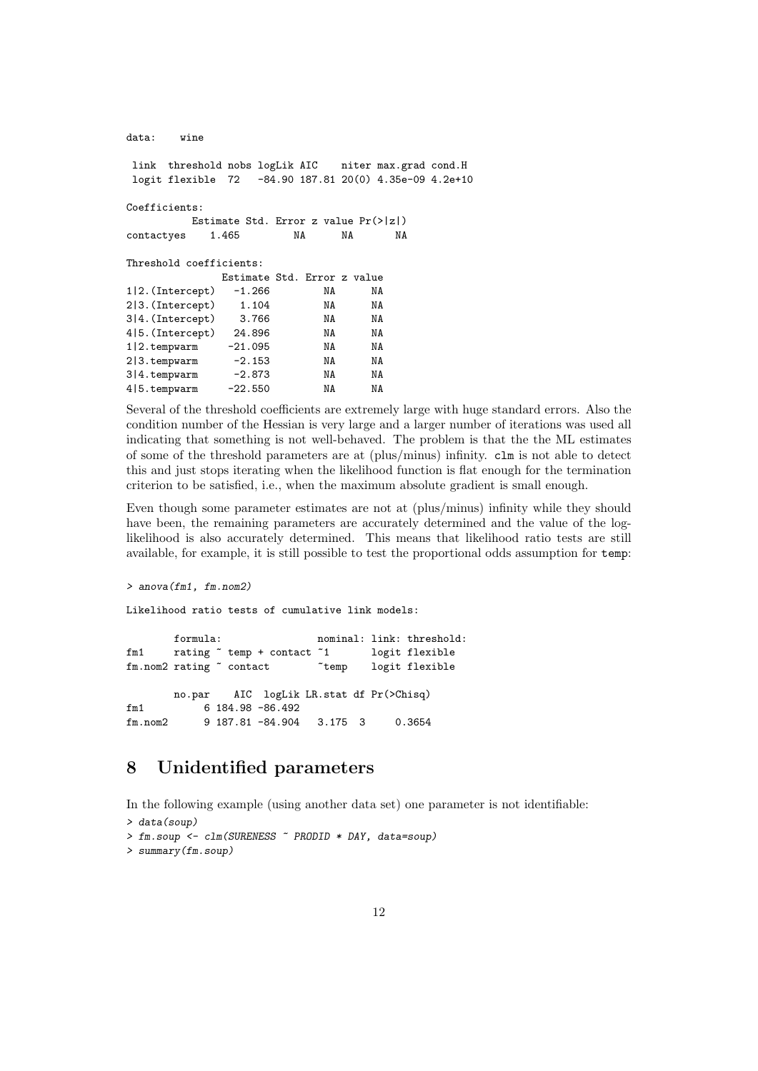| data:                         | wine |           |                                         |          |                                                                                                                |  |
|-------------------------------|------|-----------|-----------------------------------------|----------|----------------------------------------------------------------------------------------------------------------|--|
|                               |      |           |                                         |          | link threshold nobs logLik AIC niter max.grad cond.H<br>logit flexible 72 -84.90 187.81 20(0) 4.35e-09 4.2e+10 |  |
| Coefficients:                 |      |           |                                         |          |                                                                                                                |  |
|                               |      |           | Estimate Std. Error z value $Pr(>  z )$ |          |                                                                                                                |  |
| contactyes                    |      | 1.465     | NA                                      | NA       | NA                                                                                                             |  |
| Threshold coefficients:       |      |           |                                         |          |                                                                                                                |  |
|                               |      |           | Estimate Std. Error z value             |          |                                                                                                                |  |
| $1 2.$ (Intercept) $-1.266$   |      |           | NA                                      |          | NA                                                                                                             |  |
| 2 3. (Intercept) 1.104        |      |           |                                         | NA       | NA                                                                                                             |  |
| $3 4.$ (Intercept) $3.766$    |      |           |                                         | NA       | NA                                                                                                             |  |
| 4 5. (Intercept) 24.896       |      |           |                                         | NA       | NA                                                                                                             |  |
| $1 2.\text{tempwarm}$ -21.095 |      |           |                                         | NA       | NA                                                                                                             |  |
| $2 3.$ tempwarm $-2.153$      |      |           |                                         | NA 1988. | NA                                                                                                             |  |
| $3 4.$ tempwarm $-2.873$      |      |           |                                         | NA 1988. | NA                                                                                                             |  |
| $4 5.$ tempwarm               |      | $-22.550$ | NA                                      |          | NA                                                                                                             |  |
|                               |      |           |                                         |          |                                                                                                                |  |

Several of the threshold coefficients are extremely large with huge standard errors. Also the condition number of the Hessian is very large and a larger number of iterations was used all indicating that something is not well-behaved. The problem is that the the ML estimates of some of the threshold parameters are at (plus/minus) infinity. clm is not able to detect this and just stops iterating when the likelihood function is flat enough for the termination criterion to be satisfied, i.e., when the maximum absolute gradient is small enough.

Even though some parameter estimates are not at (plus/minus) infinity while they should have been, the remaining parameters are accurately determined and the value of the loglikelihood is also accurately determined. This means that likelihood ratio tests are still available, for example, it is still possible to test the proportional odds assumption for temp:

#### > anova(fm1, fm.nom2)

Likelihood ratio tests of cumulative link models:

formula: nominal: link: threshold: fm1 rating "temp + contact "1 logit flexible fm.nom2 rating ~ contact ~ ~ temp logit flexible no.par AIC logLik LR.stat df Pr(>Chisq) fm1 6 184.98 -86.492 fm.nom2 9 187.81 -84.904 3.175 3 0.3654

#### 8 Unidentified parameters

In the following example (using another data set) one parameter is not identifiable: > data(soup)

```
> fm.soup <- clm(SURENESS ~ PRODID * DAY, data=soup)
> summary(fm.soup)
```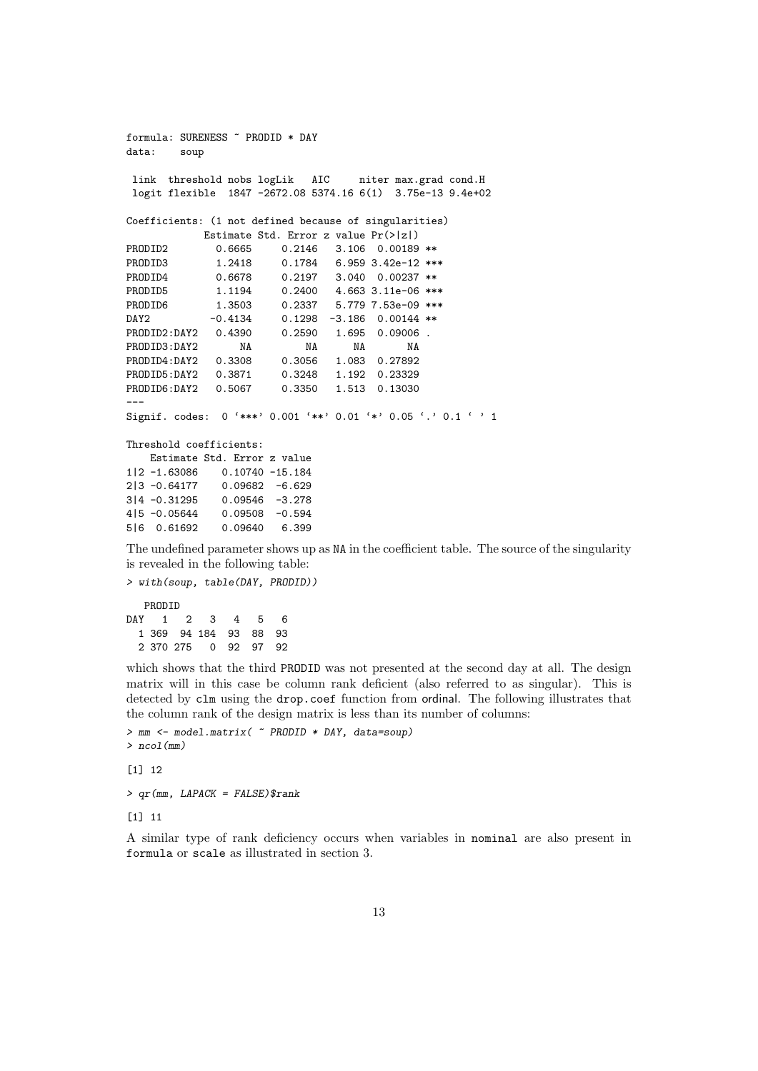```
formula: SURENESS ~ PRODID * DAY
data: soup
link threshold nobs logLik AIC niter max.grad cond.H
logit flexible 1847 -2672.08 5374.16 6(1) 3.75e-13 9.4e+02
Coefficients: (1 not defined because of singularities)
           Estimate Std. Error z value Pr(>|z|)
PRODID2 0.6665 0.2146 3.106 0.00189 **
PRODID3 1.2418 0.1784 6.959 3.42e-12 ***
PRODID4 0.6678 0.2197 3.040 0.00237 **
PRODID5 1.1194 0.2400 4.663 3.11e-06 ***
PRODID6 1.3503 0.2337 5.779 7.53e-09 ***
DAY2 -0.4134 0.1298 -3.186 0.00144 **
PRODID2:DAY2 0.4390 0.2590 1.695 0.09006 .
PRODID3:DAY2 NA NA NA NA
PRODID4:DAY2 0.3308 0.3056 1.083 0.27892
PRODID5:DAY2 0.3871 0.3248 1.192 0.23329
PRODID6:DAY2 0.5067 0.3350 1.513 0.13030
---
Signif. codes: 0 '***' 0.001 '**' 0.01 '*' 0.05 '.' 0.1 ' ' 1
Threshold coefficients:
   Estimate Std. Error z value
1|2 -1.63086 0.10740 -15.184
2|3 -0.64177 0.09682 -6.629
3|4 -0.31295 0.09546 -3.278
4|5 -0.05644 0.09508 -0.594
5|6 0.61692 0.09640 6.399
```
The undefined parameter shows up as NA in the coefficient table. The source of the singularity is revealed in the following table:

> with(soup, table(DAY, PRODID)) PRODID DAY 1 2 3 4 5 6 1 369 94 184 93 88 93 2 370 275 0 92 97 92

which shows that the third PRODID was not presented at the second day at all. The design matrix will in this case be column rank deficient (also referred to as singular). This is detected by clm using the drop.coef function from ordinal. The following illustrates that the column rank of the design matrix is less than its number of columns:

```
> mm <- model.matrix( ~ PRODID * DAY, data=soup)
> ncol(mm)
```
[1] 12

> qr(mm, LAPACK = FALSE)\$rank

[1] 11

A similar type of rank deficiency occurs when variables in nominal are also present in formula or scale as illustrated in section 3.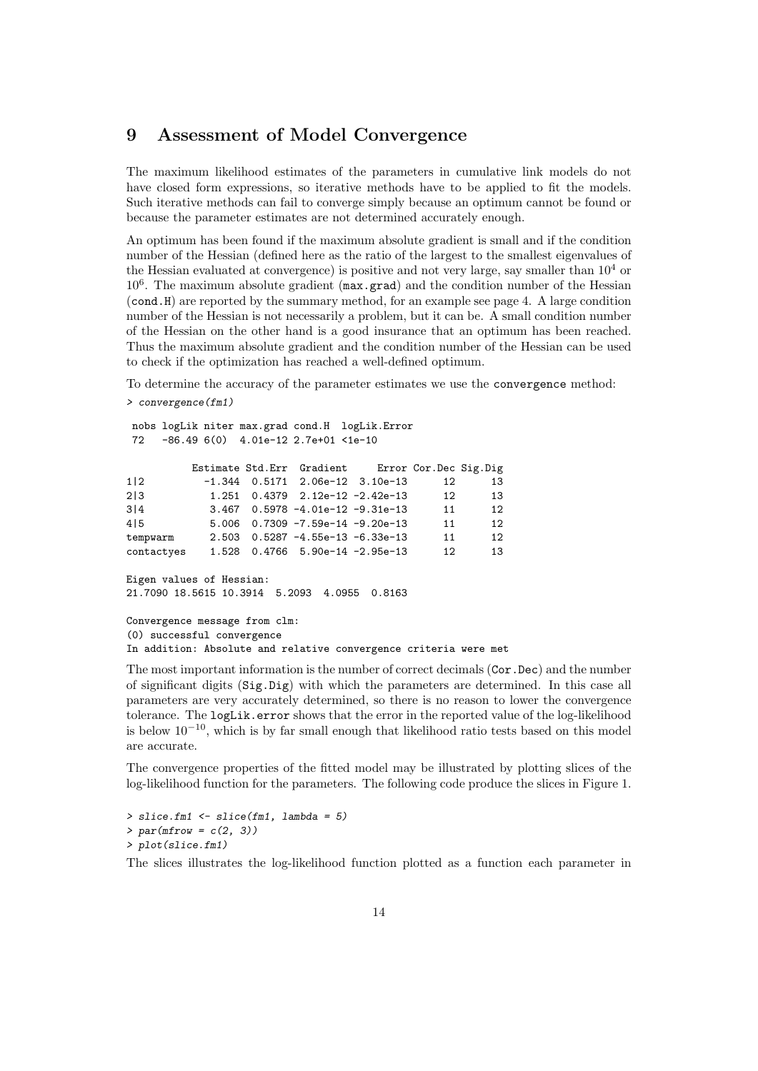#### 9 Assessment of Model Convergence

The maximum likelihood estimates of the parameters in cumulative link models do not have closed form expressions, so iterative methods have to be applied to fit the models. Such iterative methods can fail to converge simply because an optimum cannot be found or because the parameter estimates are not determined accurately enough.

An optimum has been found if the maximum absolute gradient is small and if the condition number of the Hessian (defined here as the ratio of the largest to the smallest eigenvalues of the Hessian evaluated at convergence) is positive and not very large, say smaller than  $10<sup>4</sup>$  or 10<sup>6</sup>. The maximum absolute gradient (max.grad) and the condition number of the Hessian (cond.H) are reported by the summary method, for an example see page 4. A large condition number of the Hessian is not necessarily a problem, but it can be. A small condition number of the Hessian on the other hand is a good insurance that an optimum has been reached. Thus the maximum absolute gradient and the condition number of the Hessian can be used to check if the optimization has reached a well-defined optimum.

To determine the accuracy of the parameter estimates we use the convergence method: > convergence(fm1)

```
nobs logLik niter max.grad cond.H logLik.Error
72 -86.49 6(0) 4.01e-12 2.7e+01 <1e-10
        Estimate Std.Err Gradient Error Cor.Dec Sig.Dig
1|2 -1.344 0.5171 2.06e-12 3.10e-13 12 13
2|3 1.251 0.4379 2.12e-12 -2.42e-13 12 13
3|4 3.467 0.5978 -4.01e-12 -9.31e-13 11 12
4|5 5.006 0.7309 -7.59e-14 -9.20e-13 11 12
tempwarm 2.503 0.5287 -4.55e-13 -6.33e-13 11 12
contactyes 1.528 0.4766 5.90e-14 -2.95e-13 12 13
Eigen values of Hessian:
21.7090 18.5615 10.3914 5.2093 4.0955 0.8163
Convergence message from clm:
(0) successful convergence
```
In addition: Absolute and relative convergence criteria were met

The most important information is the number of correct decimals (Cor.Dec) and the number of significant digits (Sig.Dig) with which the parameters are determined. In this case all parameters are very accurately determined, so there is no reason to lower the convergence tolerance. The logLik.error shows that the error in the reported value of the log-likelihood is below  $10^{-10}$ , which is by far small enough that likelihood ratio tests based on this model are accurate.

The convergence properties of the fitted model may be illustrated by plotting slices of the log-likelihood function for the parameters. The following code produce the slices in Figure 1.

 $>$  slice.fm1  $<-$  slice(fm1, lambda = 5)  $> par(mfrow = c(2, 3))$ > plot(slice.fm1)

The slices illustrates the log-likelihood function plotted as a function each parameter in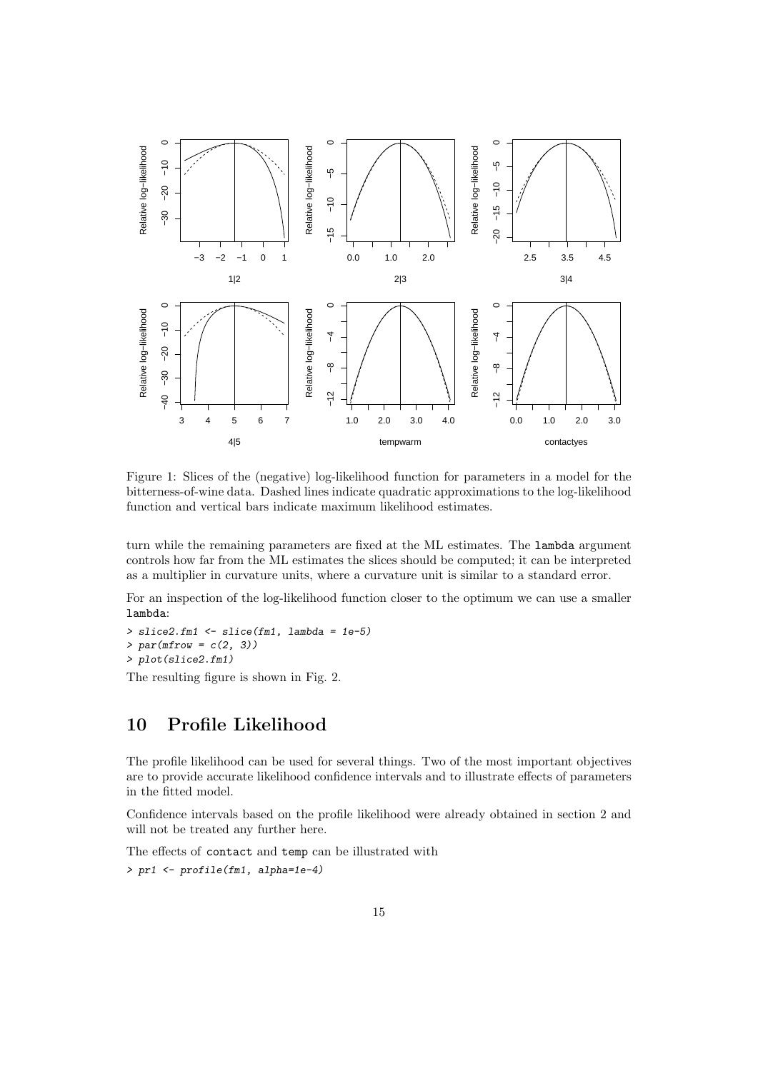

Figure 1: Slices of the (negative) log-likelihood function for parameters in a model for the bitterness-of-wine data. Dashed lines indicate quadratic approximations to the log-likelihood function and vertical bars indicate maximum likelihood estimates.

turn while the remaining parameters are fixed at the ML estimates. The lambda argument controls how far from the ML estimates the slices should be computed; it can be interpreted as a multiplier in curvature units, where a curvature unit is similar to a standard error.

For an inspection of the log-likelihood function closer to the optimum we can use a smaller lambda:

> slice2.fm1 <- slice(fm1, lambda = 1e-5)  $> par(mfrow = c(2, 3))$ > plot(slice2.fm1)

The resulting figure is shown in Fig. 2.

#### 10 Profile Likelihood

The profile likelihood can be used for several things. Two of the most important objectives are to provide accurate likelihood confidence intervals and to illustrate effects of parameters in the fitted model.

Confidence intervals based on the profile likelihood were already obtained in section 2 and will not be treated any further here.

The effects of contact and temp can be illustrated with

> pr1 <- profile(fm1, alpha=1e-4)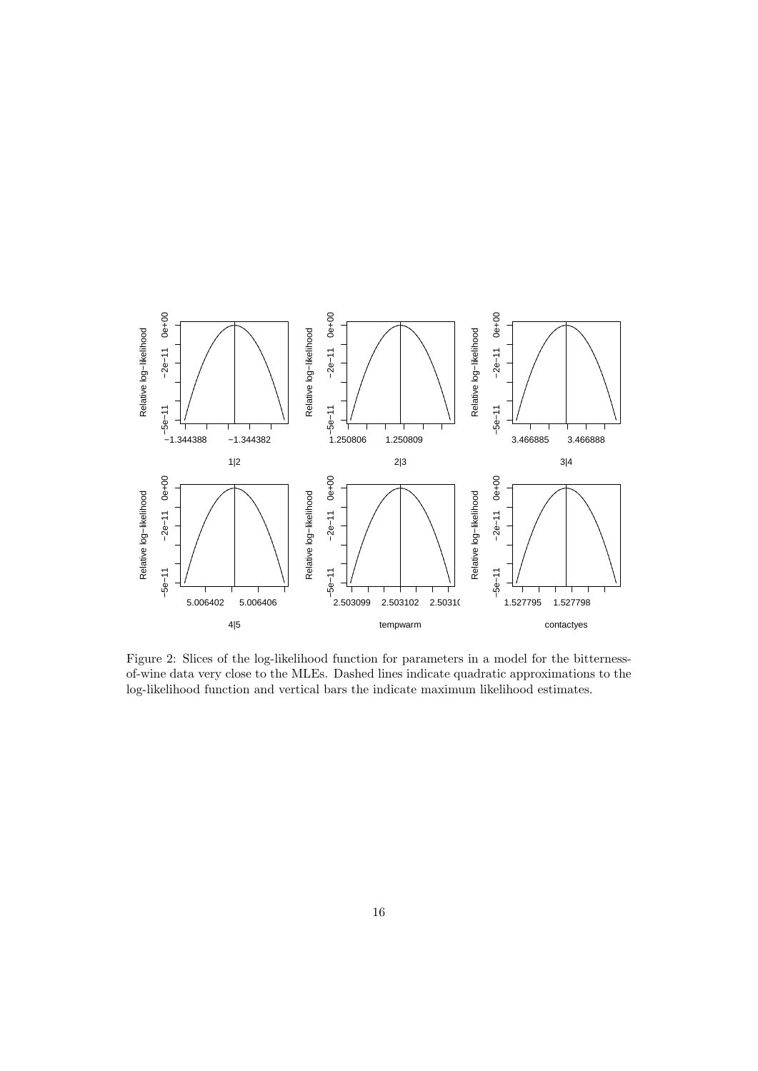

Figure 2: Slices of the log-likelihood function for parameters in a model for the bitternessof-wine data very close to the MLEs. Dashed lines indicate quadratic approximations to the log-likelihood function and vertical bars the indicate maximum likelihood estimates.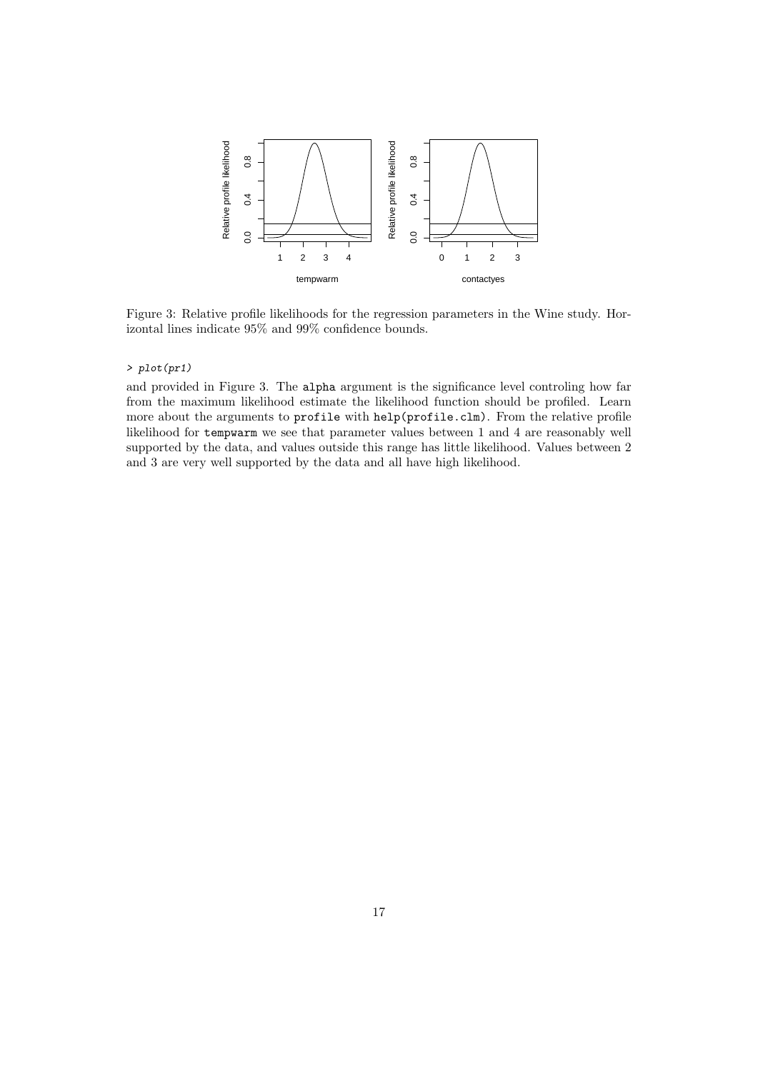

Figure 3: Relative profile likelihoods for the regression parameters in the Wine study. Horizontal lines indicate 95% and 99% confidence bounds.

#### > plot(pr1)

and provided in Figure 3. The alpha argument is the significance level controling how far from the maximum likelihood estimate the likelihood function should be profiled. Learn more about the arguments to profile with help(profile.clm). From the relative profile likelihood for tempwarm we see that parameter values between 1 and 4 are reasonably well supported by the data, and values outside this range has little likelihood. Values between 2 and 3 are very well supported by the data and all have high likelihood.